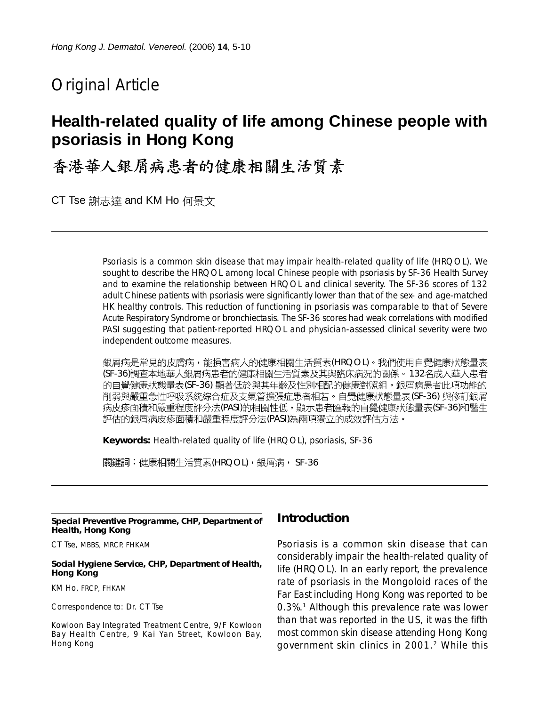# Original Article

# **Health-related quality of life among Chinese people with psoriasis in Hong Kong**

# 香港華人銀屑病患者的健康相關生活質素

CT Tse 謝志達 and KM Ho 何景文

Psoriasis is a common skin disease that may impair health-related quality of life (HRQOL). We sought to describe the HRQOL among local Chinese people with psoriasis by SF-36 Health Survey and to examine the relationship between HRQOL and clinical severity. The SF-36 scores of 132 adult Chinese patients with psoriasis were significantly lower than that of the sex- and age-matched HK healthy controls. This reduction of functioning in psoriasis was comparable to that of Severe Acute Respiratory Syndrome or bronchiectasis. The SF-36 scores had weak correlations with modified PASI suggesting that patient-reported HRQOL and physician-assessed clinical severity were two independent outcome measures.

銀屑病是常見的皮膚病,能損害病人的健康相關生活質素(HRQOL)。我們使用自覺健康狀態量表 (SF-36)調查本地華人銀屑病患者的健康相關生活質素及其與臨床病況的關係。 132名成人華人患者 的自覺健康狀態量表(SF-36) 顯著低於與其年齡及性別相配的健康對照組。銀屑病患者此項功能的 削弱與嚴重急性呼吸系統綜合症及支氣管擴張症患者相若。自覺健康狀態量表(SF-36) 與修訂銀屑 病皮疹面積和嚴重程度評分法(PASI)的相關性低,顯示患者匯報的自覺健康狀態量表(SF-36)和醫生 評估的銀屑病皮疹面積和嚴重程度評分法(PASI)為兩項獨立的成效評估方法。

**Keywords:** Health-related quality of life (HRQOL), psoriasis, SF-36

關鍵詞:健康相關生活質素(HRQOL),銀屑病, SF-36

#### **Special Preventive Programme, CHP, Department of Health, Hong Kong**

CT Tse, MBBS, MRCP, FHKAM

#### **Social Hygiene Service, CHP, Department of Health, Hong Kong**

KM Ho, FRCP, FHKAM

Correspondence to: Dr. CT Tse

Kowloon Bay Integrated Treatment Centre, 9/F Kowloon Bay Health Centre, 9 Kai Yan Street, Kowloon Bay, Hong Kong

# **Introduction**

Psoriasis is a common skin disease that can considerably impair the health-related quality of life (HRQOL). In an early report, the prevalence rate of psoriasis in the Mongoloid races of the Far East including Hong Kong was reported to be 0.3%.1 Although this prevalence rate was lower than that was reported in the US, it was the fifth most common skin disease attending Hong Kong government skin clinics in 2001.2 While this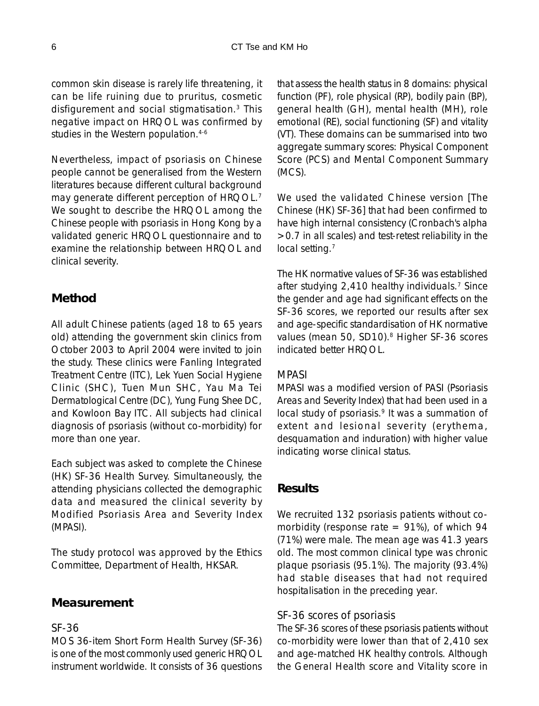common skin disease is rarely life threatening, it can be life ruining due to pruritus, cosmetic disfigurement and social stigmatisation.3 This negative impact on HRQOL was confirmed by studies in the Western population.<sup>4-6</sup>

Nevertheless, impact of psoriasis on Chinese people cannot be generalised from the Western literatures because different cultural background may generate different perception of HRQOL.<sup>7</sup> We sought to describe the HRQOL among the Chinese people with psoriasis in Hong Kong by a validated generic HRQOL questionnaire and to examine the relationship between HRQOL and clinical severity.

# **Method**

All adult Chinese patients (aged 18 to 65 years old) attending the government skin clinics from October 2003 to April 2004 were invited to join the study. These clinics were Fanling Integrated Treatment Centre (ITC), Lek Yuen Social Hygiene Clinic (SHC), Tuen Mun SHC, Yau Ma Tei Dermatological Centre (DC), Yung Fung Shee DC, and Kowloon Bay ITC. All subjects had clinical diagnosis of psoriasis (without co-morbidity) for more than one year.

Each subject was asked to complete the Chinese (HK) SF-36 Health Survey. Simultaneously, the attending physicians collected the demographic data and measured the clinical severity by Modified Psoriasis Area and Severity Index (MPASI).

The study protocol was approved by the Ethics Committee, Department of Health, HKSAR.

# **Measurement**

#### *SF-36*

MOS 36-item Short Form Health Survey (SF-36) is one of the most commonly used generic HRQOL instrument worldwide. It consists of 36 questions that assess the health status in 8 domains: physical function (PF), role physical (RP), bodily pain (BP), general health (GH), mental health (MH), role emotional (RE), social functioning (SF) and vitality (VT). These domains can be summarised into two aggregate summary scores: Physical Component Score (PCS) and Mental Component Summary (MCS).

We used the validated Chinese version [The Chinese (HK) SF-36] that had been confirmed to have high internal consistency (Cronbach's alpha >0.7 in all scales) and test-retest reliability in the local setting.<sup>7</sup>

The HK normative values of SF-36 was established after studying 2,410 healthy individuals.7 Since the gender and age had significant effects on the SF-36 scores, we reported our results after sex and age-specific standardisation of HK normative values (mean 50, SD10).<sup>8</sup> Higher SF-36 scores indicated better HRQOL.

### *MPASI*

MPASI was a modified version of PASI (Psoriasis Areas and Severity Index) that had been used in a local study of psoriasis.<sup>9</sup> It was a summation of extent and lesional severity (erythema, desquamation and induration) with higher value indicating worse clinical status.

# **Results**

We recruited 132 psoriasis patients without comorbidity (response rate  $= 91\%$ ), of which 94 (71%) were male. The mean age was 41.3 years old. The most common clinical type was chronic plaque psoriasis (95.1%). The majority (93.4%) had stable diseases that had not required hospitalisation in the preceding year.

### *SF-36 scores of psoriasis*

The SF-36 scores of these psoriasis patients without co-morbidity were lower than that of 2,410 sex and age-matched HK healthy controls. Although the General Health score and Vitality score in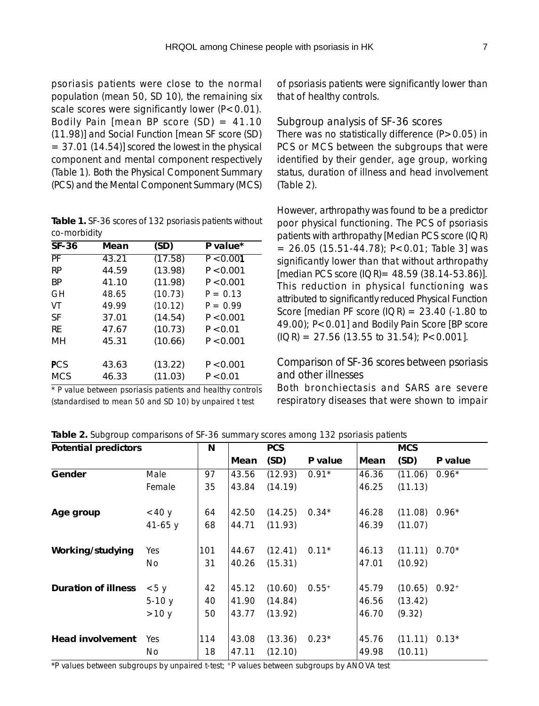psoriasis patients were close to the normal population (mean 50, SD 10), the remaining six scale scores were significantly lower  $(P<0.01)$ . Bodily Pain [mean BP score  $(SD) = 41.10$ (11.98)] and Social Function [mean SF score (SD)  $= 37.01$  (14.54)] scored the lowest in the physical component and mental component respectively (Table 1). Both the Physical Component Summary (PCS) and the Mental Component Summary (MCS)

**Table 1.** SF-36 scores of 132 psoriasis patients without co-morbidity

| <b>SF-36</b> | Mean  | (SD)    | P value*   |
|--------------|-------|---------|------------|
| PF           | 43.21 | (17.58) | P < 0.001  |
| <b>RP</b>    | 44.59 | (13.98) | P < 0.001  |
| <b>BP</b>    | 41.10 | (11.98) | P < 0.001  |
| GH           | 48.65 | (10.73) | $P = 0.13$ |
| VT           | 49.99 | (10.12) | $P = 0.99$ |
| SF           | 37.01 | (14.54) | P < 0.001  |
| RF           | 47.67 | (10.73) | P < 0.01   |
| MH           | 45.31 | (10.66) | P < 0.001  |
| <b>PCS</b>   | 43.63 | (13.22) | P < 0.001  |
| <b>MCS</b>   | 46.33 | (11.03) | P < 0.01   |

\* P value between psoriasis patients and healthy controls (standardised to mean 50 and SD 10) by unpaired t test

of psoriasis patients were significantly lower than that of healthy controls.

#### *Subgroup analysis of SF-36 scores*

There was no statistically difference  $(P>0.05)$  in PCS or MCS between the subgroups that were identified by their gender, age group, working status, duration of illness and head involvement (Table 2).

However, arthropathy was found to be a predictor poor physical functioning. The PCS of psoriasis patients with arthropathy [Median PCS score (IQR)  $= 26.05$  (15.51-44.78); P<0.01; Table 3] was significantly lower than that without arthropathy  $[median PCS score (IQR) = 48.59 (38.14-53.86)].$ This reduction in physical functioning was attributed to significantly reduced Physical Function Score [median PF score  $(IOR) = 23.40$  (-1.80 to 49.00); P<0.01] and Bodily Pain Score [BP score  $(IOR) = 27.56 (13.55 to 31.54); P < 0.001$ .

#### *Comparison of SF-36 scores between psoriasis and other illnesses*

Both bronchiectasis and SARS are severe respiratory diseases that were shown to impair

| <b>Potential predictors</b> |            | N   | <b>PCS</b> |         | <b>MCS</b> |       |                 |            |
|-----------------------------|------------|-----|------------|---------|------------|-------|-----------------|------------|
|                             |            |     | Mean       | (SD)    | P value    | Mean  | (SD)            | P value    |
| Gender                      | Male       | 97  | 43.56      | (12.93) | $0.91*$    | 46.36 | (11.06)         | $0.96*$    |
|                             | Female     | 35  | 43.84      | (14.19) |            | 46.25 | (11.13)         |            |
| Age group                   | $<$ 40 y   | 64  | 42.50      | (14.25) | $0.34*$    | 46.28 | $(11.08) 0.96*$ |            |
|                             | $41 - 65y$ | 68  | 44.71      | (11.93) |            | 46.39 | (11.07)         |            |
| Working/studying            | Yes        | 101 | 44.67      | (12.41) | $0.11*$    | 46.13 | (11.11)         | $0.70*$    |
|                             | No.        | 31  | 40.26      | (15.31) |            | 47.01 | (10.92)         |            |
| Duration of illness         | < 5y       | 42  | 45.12      | (10.60) | $0.55+$    | 45.79 | (10.65)         | $0.92^{+}$ |
|                             | $5-10y$    | 40  | 41.90      | (14.84) |            | 46.56 | (13.42)         |            |
|                             | >10 y      | 50  | 43.77      | (13.92) |            | 46.70 | (9.32)          |            |
| <b>Head involvement</b>     | Yes        | 114 | 43.08      | (13.36) | $0.23*$    | 45.76 | (11.11)         | $0.13*$    |
|                             | No         | 18  | 47.11      | (12.10) |            | 49.98 | (10.11)         |            |

**Table 2.** Subgroup comparisons of SF-36 summary scores among 132 psoriasis patients

\*P values between subgroups by unpaired t-test; +P values between subgroups by ANOVA test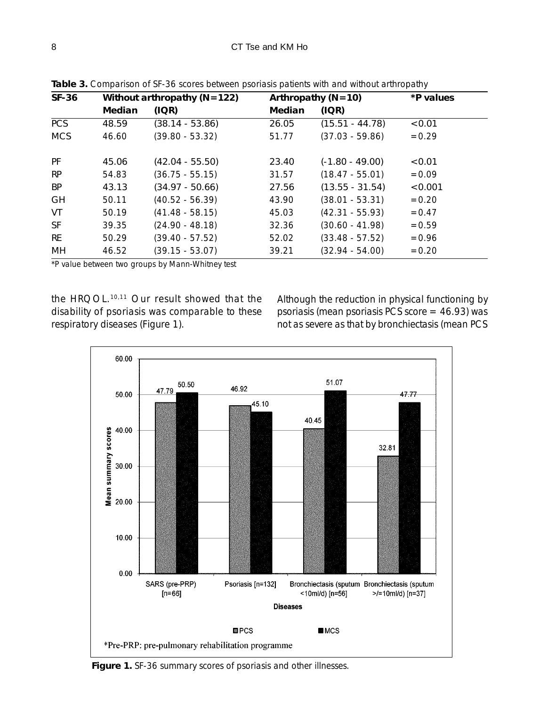| SF-36      | Without arthropathy ( $N=122$ )<br>Arthropathy $(N=10)$ |                   |        | *P values         |          |
|------------|---------------------------------------------------------|-------------------|--------|-------------------|----------|
|            | Median                                                  | (IOR)             | Median | (IOR)             |          |
| <b>PCS</b> | 48.59                                                   | $(38.14 - 53.86)$ | 26.05  | $(15.51 - 44.78)$ | < 0.01   |
| <b>MCS</b> | 46.60                                                   | $(39.80 - 53.32)$ | 51.77  | $(37.03 - 59.86)$ | $= 0.29$ |
| <b>PF</b>  | 45.06                                                   | $(42.04 - 55.50)$ | 23.40  | $(-1.80 - 49.00)$ | < 0.01   |
| <b>RP</b>  | 54.83                                                   | $(36.75 - 55.15)$ | 31.57  | $(18.47 - 55.01)$ | $= 0.09$ |
| <b>BP</b>  | 43.13                                                   | $(34.97 - 50.66)$ | 27.56  | $(13.55 - 31.54)$ | < 0.001  |
| <b>GH</b>  | 50.11                                                   | $(40.52 - 56.39)$ | 43.90  | $(38.01 - 53.31)$ | $= 0.20$ |
| VT         | 50.19                                                   | $(41.48 - 58.15)$ | 45.03  | $(42.31 - 55.93)$ | $= 0.47$ |
| <b>SF</b>  | 39.35                                                   | $(24.90 - 48.18)$ | 32.36  | $(30.60 - 41.98)$ | $= 0.59$ |
| RE         | 50.29                                                   | $(39.40 - 57.52)$ | 52.02  | $(33.48 - 57.52)$ | $= 0.96$ |
| MН         | 46.52                                                   | $(39.15 - 53.07)$ | 39.21  | $(32.94 - 54.00)$ | $= 0.20$ |

**Table 3.** Comparison of SF-36 scores between psoriasis patients with and without arthropathy

\*P value between two groups by Mann-Whitney test

the HRQOL.10,11 Our result showed that the disability of psoriasis was comparable to these respiratory diseases (Figure 1).

Although the reduction in physical functioning by psoriasis (mean psoriasis PCS score = 46.93) was not as severe as that by bronchiectasis (mean PCS



**Figure 1.** SF-36 summary scores of psoriasis and other illnesses.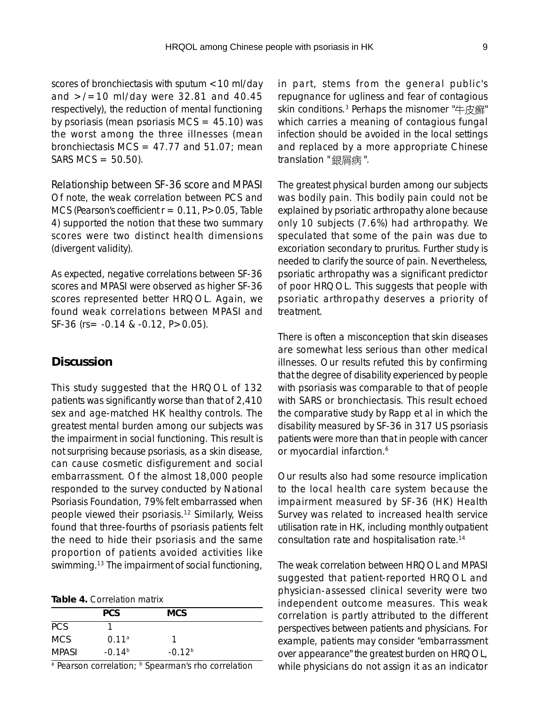scores of bronchiectasis with sputum <10 ml/day and  $>$ /=10 ml/day were 32.81 and 40.45 respectively), the reduction of mental functioning by psoriasis (mean psoriasis  $MCS = 45.10$ ) was the worst among the three illnesses (mean bronchiectasis MCS =  $47.77$  and  $51.07$ ; mean  $SARS MCS = 50.50$ .

*Relationship between SF-36 score and MPASI* Of note, the weak correlation between PCS and MCS (Pearson's coefficient  $r = 0.11$ ,  $P > 0.05$ , Table 4) supported the notion that these two summary scores were two distinct health dimensions (divergent validity).

As expected, negative correlations between SF-36 scores and MPASI were observed as higher SF-36 scores represented better HRQOL. Again, we found weak correlations between MPASI and SF-36 (rs= -0.14 & -0.12, P>0.05).

### **Discussion**

This study suggested that the HRQOL of 132 patients was significantly worse than that of 2,410 sex and age-matched HK healthy controls. The greatest mental burden among our subjects was the impairment in social functioning. This result is not surprising because psoriasis, as a skin disease, can cause cosmetic disfigurement and social embarrassment. Of the almost 18,000 people responded to the survey conducted by National Psoriasis Foundation, 79% felt embarrassed when people viewed their psoriasis.12 Similarly, Weiss found that three-fourths of psoriasis patients felt the need to hide their psoriasis and the same proportion of patients avoided activities like swimming.<sup>13</sup> The impairment of social functioning,

| Table 4. Correlation matrix |
|-----------------------------|
|-----------------------------|

|            | <b>PCS</b>        | <b>MCS</b> |  |
|------------|-------------------|------------|--|
| <b>PCS</b> |                   |            |  |
| MCS.       | 0.11 <sup>a</sup> |            |  |
| MPASI      | $-0.14b$          | $-0.12b$   |  |

a Pearson correlation; **b** Spearman's rho correlation

in part, stems from the general public's repugnance for ugliness and fear of contagious skin conditions.<sup>3</sup> Perhaps the misnomer "牛皮癬" which carries a meaning of contagious fungal infection should be avoided in the local settings and replaced by a more appropriate Chinese translation " 銀屑病".

The greatest physical burden among our subjects was bodily pain. This bodily pain could not be explained by psoriatic arthropathy alone because only 10 subjects (7.6%) had arthropathy. We speculated that some of the pain was due to excoriation secondary to pruritus. Further study is needed to clarify the source of pain. Nevertheless, psoriatic arthropathy was a significant predictor of poor HRQOL. This suggests that people with psoriatic arthropathy deserves a priority of treatment.

There is often a misconception that skin diseases are somewhat less serious than other medical illnesses. Our results refuted this by confirming that the degree of disability experienced by people with psoriasis was comparable to that of people with SARS or bronchiectasis. This result echoed the comparative study by Rapp et al in which the disability measured by SF-36 in 317 US psoriasis patients were more than that in people with cancer or myocardial infarction.<sup>6</sup>

Our results also had some resource implication to the local health care system because the impairment measured by SF-36 (HK) Health Survey was related to increased health service utilisation rate in HK, including monthly outpatient consultation rate and hospitalisation rate.14

The weak correlation between HRQOL and MPASI suggested that patient-reported HRQOL and physician-assessed clinical severity were two independent outcome measures. This weak correlation is partly attributed to the different perspectives between patients and physicians. For example, patients may consider "embarrassment over appearance" the greatest burden on HRQOL, while physicians do not assign it as an indicator